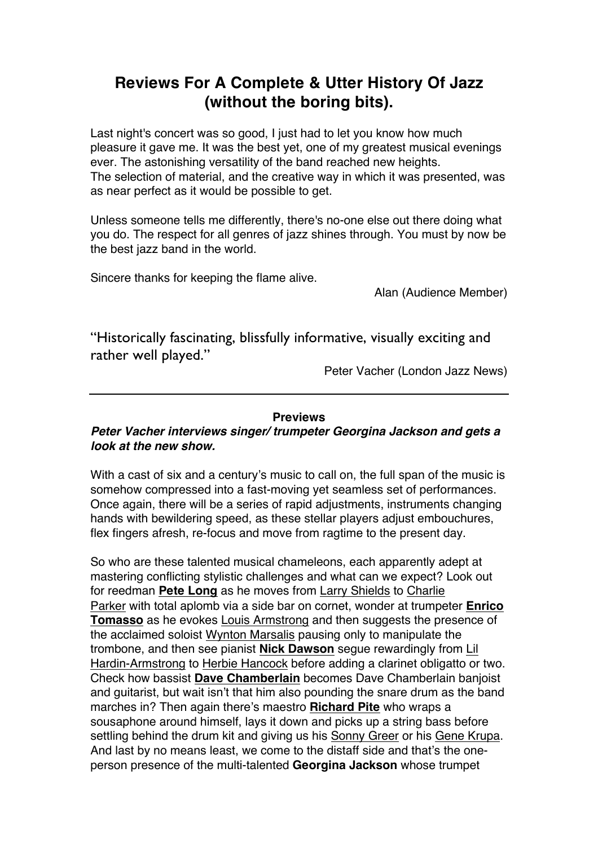## **Reviews For A Complete & Utter History Of Jazz (without the boring bits).**

Last night's concert was so good, I just had to let you know how much pleasure it gave me. It was the best yet, one of my greatest musical evenings ever. The astonishing versatility of the band reached new heights. The selection of material, and the creative way in which it was presented, was as near perfect as it would be possible to get.

Unless someone tells me differently, there's no-one else out there doing what you do. The respect for all genres of jazz shines through. You must by now be the best jazz band in the world.

Sincere thanks for keeping the flame alive.

Alan (Audience Member)

"Historically fascinating, blissfully informative, visually exciting and rather well played."

Peter Vacher (London Jazz News)

## **Previews**

## *Peter Vacher interviews singer/ trumpeter Georgina Jackson and gets a look at the new show.*

With a cast of six and a century's music to call on, the full span of the music is somehow compressed into a fast-moving yet seamless set of performances. Once again, there will be a series of rapid adjustments, instruments changing hands with bewildering speed, as these stellar players adjust embouchures, flex fingers afresh, re-focus and move from ragtime to the present day.

So who are these talented musical chameleons, each apparently adept at mastering conflicting stylistic challenges and what can we expect? Look out for reedman **Pete Long** as he moves from Larry Shields to Charlie Parker with total aplomb via a side bar on cornet, wonder at trumpeter **Enrico Tomasso** as he evokes Louis Armstrong and then suggests the presence of the acclaimed soloist Wynton Marsalis pausing only to manipulate the trombone, and then see pianist **Nick Dawson** segue rewardingly from Lil Hardin-Armstrong to Herbie Hancock before adding a clarinet obligatto or two. Check how bassist **Dave Chamberlain** becomes Dave Chamberlain banjoist and guitarist, but wait isn't that him also pounding the snare drum as the band marches in? Then again there's maestro **Richard Pite** who wraps a sousaphone around himself, lays it down and picks up a string bass before settling behind the drum kit and giving us his Sonny Greer or his Gene Krupa. And last by no means least, we come to the distaff side and that's the oneperson presence of the multi-talented **Georgina Jackson** whose trumpet